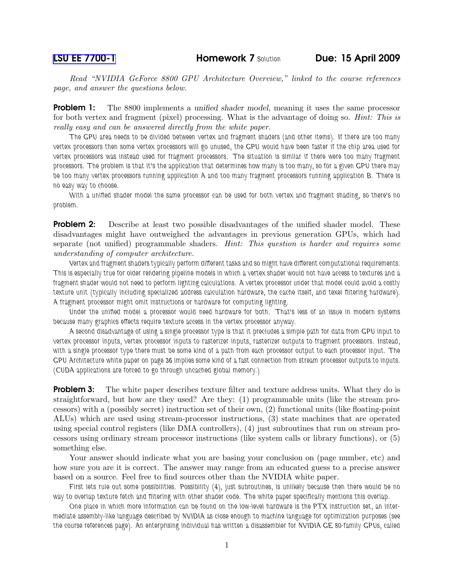Read "NVIDIA GeForce 8800 GPU Architecture Overview," linked to the course references page, and answer the questions below.

**Problem 1:** The 8800 implements a unified shader model, meaning it uses the same processor for both vertex and fragment (pixel) processing. What is the advantage of doing so. *Hint: This is* really easy and can be answered directly from the white paper.

The GPU area needs to be divided between vertex and fragment shaders (and other items). If there are too many vertex processors then some vertex processors will go unused, the GPU would have been faster if the chip area used for vertex processors was instead used for fragment processors. The situation is similar if there were too many fragment processors. The problem is that it's the application that determines how many is too many, so for a given GPU there may be too many vertex processors running application A and too many fragment processors running application B. There is no easy way to choose.

With a unified shader model the same processor can be used for both vertex and fragment shading, so there's no problem.

**Problem 2:** Describe at least two possible disadvantages of the unified shader model. These disadvantages might have outweighed the advantages in previous generation GPUs, which had separate (not unified) programmable shaders. Hint: This question is harder and requires some understanding of computer architecture.

Vertex and fragment shaders typically perform different tasks and so might have different computational requirements. This is especially true for older rendering pipeline models in which a vertex shader would not have access to textures and a fragment shader would not need to perform lighting calculations. A vertex processor under that model could avoid a costly texture unit (typically including specialized address calculation hardware, the cache itself, and texel filtering hardware). A fragment processor might omit instructions or hardware for computing lighting.

Under the unified model a processor would need hardware for both. That's less of an issue in modern systems because many graphics effects require texture access in the vertex processor anyway.

A second disadvantage of using a single processor type is that it precludes a simple path for data from GPU input to vertex processor inputs, vertex processor inputs to rasterizer inputs, rasterizer outputs to fragment processors. Instead, with a single processor type there must be some kind of a path from each processor output to each processor input. The GPU Architecture white paper on page 36 implies some kind of a fast connection from stream processor outputs to inputs. (CUDA applications are forced to go through uncached global memory.)

**Problem 3:** The white paper describes texture filter and texture address units. What they do is straightforward, but how are they used? Are they: (1) programmable units (like the stream processors) with a (possibly secret) instruction set of their own, (2) functional units (like floating-point ALUs) which are used using stream-processor instructions, (3) state machines that are operated using special control registers (like DMA controllers), (4) just subroutines that run on stream processors using ordinary stream processor instructions (like system calls or library functions), or (5) something else.

Your answer should indicate what you are basing your conclusion on (page number, etc) and how sure you are it is correct. The answer may range from an educated guess to a precise answer based on a source. Feel free to find sources other than the NVIDIA white paper.

First lets rule out some possibilities. Possibility (4), just subroutines, is unlikely because then there would be no way to overlap texture fetch and filtering with other shader code. The white paper specifically mentions this overlap.

One place in which more information can be found on the low-level hardware is the PTX instruction set, an intermediate assembly-like language described by NVIDIA as close enough to machine language for optimization purposes (see the course references page). An enterprising individual has written a disassembler for NVIDIA GE 80-family GPUs, called